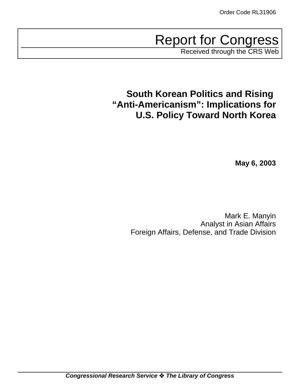Report for Congress

Received through the CRS Web

# **South Korean Politics and Rising "Anti-Americanism": Implications for U.S. Policy Toward North Korea**

**May 6, 2003**

Mark E. Manyin Analyst in Asian Affairs Foreign Affairs, Defense, and Trade Division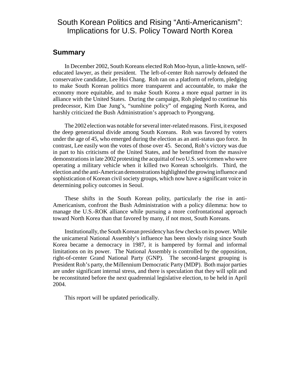## South Korean Politics and Rising "Anti-Americanism": Implications for U.S. Policy Toward North Korea

### **Summary**

In December 2002, South Koreans elected Roh Moo-hyun, a little-known, selfeducated lawyer, as their president. The left-of-center Roh narrowly defeated the conservative candidate, Lee Hoi Chang. Roh ran on a platform of reform, pledging to make South Korean politics more transparent and accountable, to make the economy more equitable, and to make South Korea a more equal partner in its alliance with the United States. During the campaign, Roh pledged to continue his predecessor, Kim Dae Jung's, "sunshine policy" of engaging North Korea, and harshly criticized the Bush Administration's approach to Pyongyang.

The 2002 election was notable for several inter-related reasons. First, it exposed the deep generational divide among South Koreans. Roh was favored by voters under the age of 45, who emerged during the election as an anti-status quo force. In contrast, Lee easily won the votes of those over 45. Second, Roh's victory was due in part to his criticisms of the United States, and he benefitted from the massive demonstrations in late 2002 protesting the acquittal of two U.S. servicemen who were operating a military vehicle when it killed two Korean schoolgirls. Third, the election and the anti-American demonstrations highlighted the growing influence and sophistication of Korean civil society groups, which now have a significant voice in determining policy outcomes in Seoul.

These shifts in the South Korean polity, particularly the rise in anti-Americanism, confront the Bush Administration with a policy dilemma: how to manage the U.S.-ROK alliance while pursuing a more confrontational approach toward North Korea than that favored by many, if not most, South Koreans.

Institutionally, the South Korean presidency has few checks on its power. While the unicameral National Assembly's influence has been slowly rising since South Korea became a democracy in 1987, it is hampered by formal and informal limitations on its power. The National Assembly is controlled by the opposition, right-of-center Grand National Party (GNP). The second-largest grouping is President Roh's party, the Millennium Democratic Party (MDP). Both major parties are under significant internal stress, and there is speculation that they will split and be reconstituted before the next quadrennial legislative election, to be held in April 2004.

This report will be updated periodically.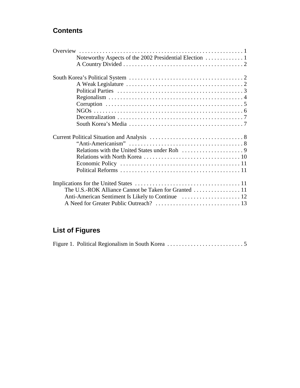# **Contents**

# **List of Figures**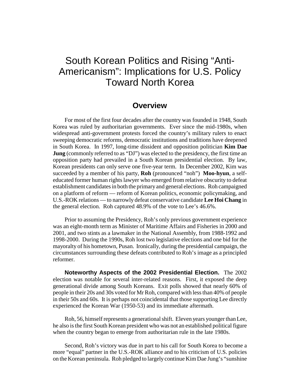# South Korean Politics and Rising "Anti-Americanism": Implications for U.S. Policy Toward North Korea

## **Overview**

For most of the first four decades after the country was founded in 1948, South Korea was ruled by authoritarian governments. Ever since the mid-1980s, when widespread anti-government protests forced the country's military rulers to enact sweeping democratic reforms, democratic institutions and traditions have deepened in South Korea. In 1997, long-time dissident and opposition politician **Kim Dae Jung** (commonly referred to as "DJ") was elected to the presidency, the first time an opposition party had prevailed in a South Korean presidential election. By law, Korean presidents can only serve one five-year term. In December 2002, Kim was succeeded by a member of his party, **Roh** (pronounced "noh") **Moo-hyun**, a selfeducated former human rights lawyer who emerged from relative obscurity to defeat establishment candidates in both the primary and general elections. Roh campaigned on a platform of reform — reform of Korean politics, economic policymaking, and U.S.-ROK relations — to narrowly defeat conservative candidate **Lee Hoi Chang** in the general election. Roh captured 48.9% of the vote to Lee's 46.6%.

Prior to assuming the Presidency, Roh's only previous government experience was an eight-month term as Minister of Maritime Affairs and Fisheries in 2000 and 2001, and two stints as a lawmaker in the National Assembly, from 1988-1992 and 1998-2000. During the 1990s, Roh lost two legislative elections and one bid for the mayoralty of his hometown, Pusan. Ironically, during the presidential campaign, the circumstances surrounding these defeats contributed to Roh's image as a principled reformer.

**Noteworthy Aspects of the 2002 Presidential Election.** The 2002 election was notable for several inter-related reasons. First, it exposed the deep generational divide among South Koreans. Exit polls showed that nearly 60% of people in their 20s and 30s voted for Mr Roh, compared with less than 40% of people in their 50s and 60s. It is perhaps not coincidental that those supporting Lee directly experienced the Korean War (1950-53) and its immediate aftermath.

Roh, 56, himself represents a generational shift. Eleven years younger than Lee, he also is the first South Korean president who was not an established political figure when the country began to emerge from authoritarian rule in the late 1980s.

Second, Roh's victory was due in part to his call for South Korea to become a more "equal" partner in the U.S.-ROK alliance and to his criticism of U.S. policies on the Korean peninsula. Roh pledged to largely continue Kim Dae Jung's "sunshine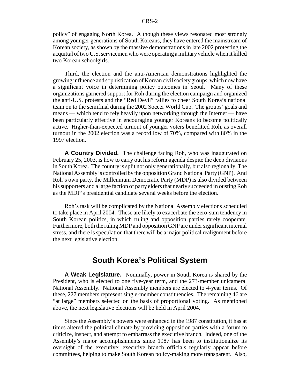policy" of engaging North Korea. Although these views resonated most strongly among younger generations of South Koreans, they have entered the mainstream of Korean society, as shown by the massive demonstrations in late 2002 protesting the acquittal of two U.S. servicemen who were operating a military vehicle when it killed two Korean schoolgirls.

Third, the election and the anti-American demonstrations highlighted the growing influence and sophistication of Korean civil society groups, which now have a significant voice in determining policy outcomes in Seoul. Many of these organizations garnered support for Roh during the election campaign and organized the anti-U.S. protests and the "Red Devil" rallies to cheer South Korea's national team on to the semifinal during the 2002 Soccer World Cup. The groups' goals and means — which tend to rely heavily upon networking through the Internet — have been particularly effective in encouraging younger Koreans to become politically active. Higher-than-expected turnout of younger voters benefitted Roh, as overall turnout in the 2002 election was a record low of 70%, compared with 80% in the 1997 election.

**A Country Divided.** The challenge facing Roh, who was inaugurated on February 25, 2003, is how to carry out his reform agenda despite the deep divisions in South Korea. The country is split not only generationally, but also regionally. The National Assembly is controlled by the opposition Grand National Party (GNP). And Roh's own party, the Millennium Democratic Party (MDP) is also divided between his supporters and a large faction of party elders that nearly succeeded in ousting Roh as the MDP's presidential candidate several weeks before the election.

Roh's task will be complicated by the National Assembly elections scheduled to take place in April 2004. These are likely to exacerbate the zero-sum tendency in South Korean politics, in which ruling and opposition parties rarely cooperate. Furthermore, both the ruling MDP and opposition GNP are under significant internal stress, and there is speculation that there will be a major political realignment before the next legislative election.

### **South Korea's Political System**

**A Weak Legislature.** Nominally, power in South Korea is shared by the President, who is elected to one five-year term, and the 273-member unicameral National Assembly. National Assembly members are elected to 4-year terms. Of these, 227 members represent single-member constituencies. The remaining 46 are "at large" members selected on the basis of proportional voting. As mentioned above, the next legislative elections will be held in April 2004.

Since the Assembly's powers were enhanced in the 1987 constitution, it has at times altered the political climate by providing opposition parties with a forum to criticize, inspect, and attempt to embarrass the executive branch. Indeed, one of the Assembly's major accomplishments since 1987 has been to institutionalize its oversight of the executive; executive branch officials regularly appear before committees, helping to make South Korean policy-making more transparent. Also,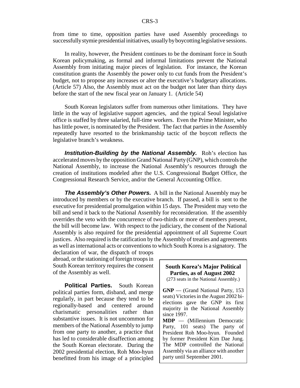from time to time, opposition parties have used Assembly proceedings to successfully stymie presidential initiatives, usually by boycotting legislative sessions.

In reality, however, the President continues to be the dominant force in South Korean policymaking, as formal and informal limitations prevent the National Assembly from initiating major pieces of legislation. For instance, the Korean constitution grants the Assembly the power only to cut funds from the President's budget, not to propose any increases or alter the executive's budgetary allocations. (Article 57) Also, the Assembly must act on the budget not later than thirty days before the start of the new fiscal year on January 1. (Article 54)

South Korean legislators suffer from numerous other limitations. They have little in the way of legislative support agencies, and the typical Seoul legislative office is staffed by three salaried, full-time workers. Even the Prime Minister, who has little power, is nominated by the President. The fact that parties in the Assembly repeatedly have resorted to the brinkmanship tactic of the boycott reflects the legislative branch's weakness.

*Institution-Building by the National Assembly.* Roh's election has accelerated moves by the opposition Grand National Party (GNP), which controls the National Assembly, to increase the National Assembly's resources through the creation of institutions modeled after the U.S. Congressional Budget Office, the Congressional Research Service, and/or the General Accounting Office.

*The Assembly's Other Powers.* A bill in the National Assembly may be introduced by members or by the executive branch. If passed, a bill is sent to the executive for presidential promulgation within 15 days. The President may veto the bill and send it back to the National Assembly for reconsideration. If the assembly overrides the veto with the concurrence of two-thirds or more of members present, the bill will become law. With respect to the judiciary, the consent of the National Assembly is also required for the presidential appointment of all Supreme Court justices. Also required is the ratification by the Assembly of treaties and agreements as well as international acts or conventions to which South Korea is a signatory. The

declaration of war, the dispatch of troops abroad, or the stationing of foreign troops in South Korean territory requires the consent of the Assembly as well.

**Political Parties.** South Korean political parties form, disband, and merge regularly, in part because they tend to be regionally-based and centered around charismatic personalities rather than substantive issues. It is not uncommon for members of the National Assembly to jump from one party to another, a practice that has led to considerable disaffection among the South Korean electorate. During the 2002 presidential election, Roh Moo-hyun benefitted from his image of a principled

#### **South Korea's Major Political Parties, as of August 2002**

(273 seats in the National Assembly.)

**GNP** — (Grand National Party, 153 seats) Victories in the August 2002 bielections gave the GNP its first majority in the National Assembly since 1997.

**MDP** — (Millennium Democratic Party, 101 seats) The party of President Roh Moo-hyun. Founded by former President Kim Dae Jung. The MDP controlled the National Assembly via an alliance with another party until September 2001.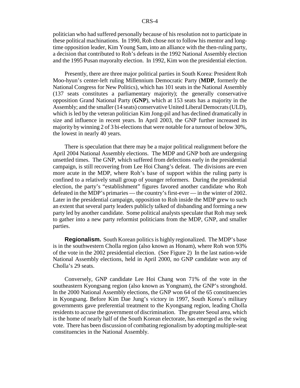politician who had suffered personally because of his resolution not to participate in these political machinations. In 1990, Roh chose not to follow his mentor and longtime opposition leader, Kim Young Sam, into an alliance with the then-ruling party, a decision that contributed to Roh's defeats in the 1992 National Assembly election and the 1995 Pusan mayoralty election. In 1992, Kim won the presidential election.

Presently, there are three major political parties in South Korea: President Roh Moo-hyun's center-left ruling Millennium Democratic Party (**MDP**, formerly the National Congress for New Politics), which has 101 seats in the National Assembly (137 seats constitutes a parliamentary majority); the generally conservative opposition Grand National Party (**GNP**), which at 153 seats has a majority in the Assembly; and the smaller (14 seats) conservative United Liberal Democrats (ULD), which is led by the veteran politician Kim Jong-pil and has declined dramatically in size and influence in recent years. In April 2003, the GNP further increased its majority by winning 2 of 3 bi-elections that were notable for a turnout of below 30%, the lowest in nearly 40 years.

There is speculation that there may be a major political realignment before the April 2004 National Assembly elections. The MDP and GNP both are undergoing unsettled times. The GNP, which suffered from defections early in the presidential campaign, is still recovering from Lee Hoi Chang's defeat. The divisions are even more acute in the MDP, where Roh's base of support within the ruling party is confined to a relatively small group of younger reformers. During the presidential election, the party's "establishment" figures favored another candidate who Roh defeated in the MDP's primaries — the country's first-ever — in the winter of 2002. Later in the presidential campaign, opposition to Roh inside the MDP grew to such an extent that several party leaders publicly talked of disbanding and forming a new party led by another candidate. Some political analysts speculate that Roh may seek to gather into a new party reformist politicians from the MDP, GNP, and smaller parties.

**Regionalism.** South Korean politics is highly regionalized. The MDP's base is in the southwestern Cholla region (also known as Honam), where Roh won 93% of the vote in the 2002 presidential election. (See Figure 2) In the last nation-wide National Assembly elections, held in April 2000, no GNP candidate won any of Cholla's 29 seats.

Conversely, GNP candidate Lee Hoi Chang won 71% of the vote in the southeastern Kyongsang region (also known as Yongnam), the GNP's stronghold. In the 2000 National Assembly elections, the GNP won 64 of the 65 constituencies in Kyongsang. Before Kim Dae Jung's victory in 1997, South Korea's military governments gave preferential treatment to the Kyongsang region, leading Cholla residents to accuse the government of discrimination. The greater Seoul area, which is the home of nearly half of the South Korean electorate, has emerged as the swing vote. There has been discussion of combating regionalism by adopting multiple-seat constituencies in the National Assembly.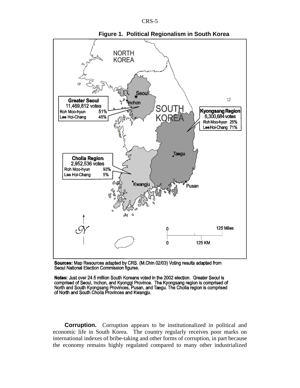CRS-5



**Figure 1. Political Regionalism in South Korea**

Sources: Map Resources adapted by CRS. (M.Chin 02/03) Voting results adapted from Seoul National Election Commission figures.

Notes: Just over 24.5 million South Koreans voted in the 2002 election. Greater Seoul is comprised of Seoul, Inchon, and Kyonggi Province. The Kyongsang region is comprised of<br>North and South Kyongsang Provinces, Pusan, and Taegu. The Cholla region is comprised<br>of North and South Cholla Provinces and Kwangju.

**Corruption.** Corruption appears to be institutionalized in political and economic life in South Korea. The country regularly receives poor marks on international indexes of bribe-taking and other forms of corruption, in part because the economy remains highly regulated compared to many other industrialized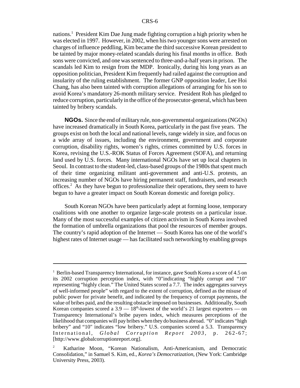nations.<sup>1</sup> President Kim Dae Jung made fighting corruption a high priority when he was elected in 1997. However, in 2002, when his two younger sons were arrested on charges of influence peddling, Kim became the third successive Korean president to be tainted by major money-related scandals during his final months in office. Both sons were convicted, and one was sentenced to three-and-a-half years in prison. The scandals led Kim to resign from the MDP. Ironically, during his long years as an opposition politician, President Kim frequently had railed against the corruption and insularity of the ruling establishment. The former GNP opposition leader, Lee Hoi Chang, has also been tainted with corruption allegations of arranging for his son to avoid Korea's mandatory 26-month military service. President Roh has pledged to reduce corruption, particularly in the office of the prosecutor-general, which has been tainted by bribery scandals.

**NGOs.** Since the end of military rule, non-governmental organizations (NGOs) have increased dramatically in South Korea, particularly in the past five years. The groups exist on both the local and national levels, range widely in size, and focus on a wide array of issues, including the environment, government and corporate corruption, disability rights, women's rights, crimes committed by U.S. forces in Korea, revising the U.S.-ROK Status of Forces Agreement (SOFA), and returning land used by U.S. forces. Many international NGOs have set up local chapters in Seoul. In contrast to the student-led, class-based groups of the 1980s that spent much of their time organizing militant anti-government and anti-U.S. protests, an increasing number of NGOs have hiring permanent staff, fundraisers, and research offices.2 As they have begun to professionalize their operations, they seem to have begun to have a greater impact on South Korean domestic and foreign policy.

South Korean NGOs have been particularly adept at forming loose, temporary coalitions with one another to organize large-scale protests on a particular issue. Many of the most successful examples of citizen activism in South Korea involved the formation of umbrella organizations that pool the resources of member groups. The country's rapid adoption of the Internet — South Korea has one of the world's highest rates of Internet usage — has facilitated such networking by enabling groups

<sup>&</sup>lt;sup>1</sup> Berlin-based Transparency International, for instance, gave South Korea a score of 4.5 on its 2002 corruption perception index, with "0"indicating "highly corrupt and "10" representing "highly clean." The United States scored a 7.7. The index aggregates surveys of well-informed people" with regard to the extent of corruption, defined as the misuse of public power for private benefit, and indicated by the frequency of corrupt payments, the value of bribes paid, and the resulting obstacle imposed on businesses. Additionally, South Korean companies scored a  $3.9 - 18<sup>th</sup>$ -lowest of the world's 21 largest exporters — on Transparency International's bribe payers index, which measures perceptions of the likelihood that companies will pay bribes when they do business abroad. "0" indicates "high bribery" and "10" indicates "low bribery." U.S. companies scored a 5.3. Transparency International, *Global Corruption Report 2003*, p. 262-67; [http://www.globalcorruptionreport.org].

<sup>2</sup> Katharine Moon, "Korean Nationalism, Anti-Americanism, and Democratic Consolidation," in Samuel S. Kim, ed., *Korea's Democratization*, (New York: Cambridge University Press, 2003).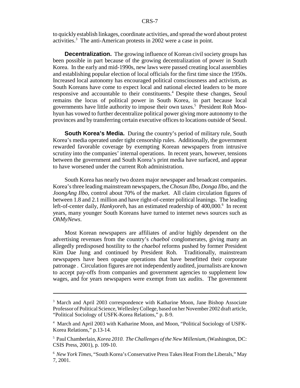to quickly establish linkages, coordinate activities, and spread the word about protest activities.<sup>3</sup> The anti-American protests in 2002 were a case in point.

**Decentralization.** The growing influence of Korean civil society groups has been possible in part because of the growing decentralization of power in South Korea. In the early and mid-1990s, new laws were passed creating local assemblies and establishing popular election of local officials for the first time since the 1950s. Increased local autonomy has encouraged political consciousness and activism, as South Koreans have come to expect local and national elected leaders to be more responsive and accountable to their constituents.<sup>4</sup> Despite these changes, Seoul remains the locus of political power in South Korea, in part because local governments have little authority to impose their own taxes.<sup>5</sup> President Roh Moohyun has vowed to further decentralize political power giving more autonomy to the provinces and by transferring certain executive offices to locations outside of Seoul.

**South Korea's Media.** During the country's period of military rule, South Korea's media operated under tight censorship rules. Additionally, the government rewarded favorable coverage by exempting Korean newspapers from intrusive scrutiny into the companies' internal operations. In recent years, however, tensions between the government and South Korea's print media have surfaced, and appear to have worsened under the current Roh administration.

South Korea has nearly two dozen major newspaper and broadcast companies. Korea's three leading mainstream newspapers, the *Chosun Ilbo*, *Donga Ilbo*, and the *JoongAng Ilbo*, control about 70% of the market. All claim circulation figures of between 1.8 and 2.1 million and have right-of-center political leanings. The leading left-of-center daily, *Hankyoreh*, has an estimated readership of 400,000.<sup>6</sup> In recent years, many younger South Koreans have turned to internet news sources such as *OhMyNews*.

Most Korean newspapers are affiliates of and/or highly dependent on the advertising revenues from the country's *chaebol* conglomerates, giving many an allegedly predisposed hostility to the *chaebol* reforms pushed by former President Kim Dae Jung and continued by President Roh. Traditionally, mainstream newspapers have been opaque operations that have benefitted their corporate patronage . Circulation figures are not independently audited, journalists are known to accept pay-offs from companies and government agencies to supplement low wages, and for years newspapers were exempt from tax audits. The government

<sup>&</sup>lt;sup>3</sup> March and April 2003 correspondence with Katharine Moon, Jane Bishop Associate Professor of Political Science, Wellesley College, based on her November 2002 draft article, "Political Sociology of USFK-Korea Relations," p. 8-9.

<sup>4</sup> March and April 2003 with Katharine Moon, and Moon, "Political Sociology of USFK-Korea Relations," p.13-14.

<sup>5</sup> Paul Chamberlain, *Korea 2010. The Challenges of the New Millenium*, (Washington, DC: CSIS Press, 2001), p. 109-10.

<sup>&</sup>lt;sup>6</sup> New York Times, "South Korea's Conservative Press Takes Heat From the Liberals," May 7, 2001.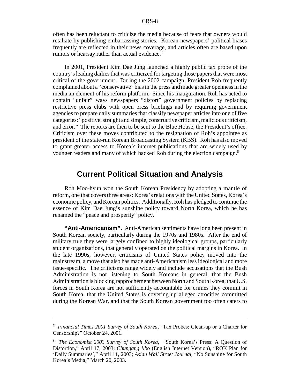often has been reluctant to criticize the media because of fears that owners would retaliate by publishing embarrassing stories. Korean newspapers' political biases frequently are reflected in their news coverage, and articles often are based upon rumors or hearsay rather than actual evidence.<sup>7</sup>

In 2001, President Kim Dae Jung launched a highly public tax probe of the country's leading dailies that was criticized for targeting those papers that were most critical of the government. During the 2002 campaign, President Roh frequently complained about a "conservative" bias in the press and made greater openness in the media an element of his reform platform. Since his inauguration, Roh has acted to contain "unfair" ways newspapers "distort" government policies by replacing restrictive press clubs with open press briefings and by requiring government agencies to prepare daily summaries that classify newspaper articles into one of five categories: "positive, straight and simple, constructive criticism, malicious criticism, and error." The reports are then to be sent to the Blue House, the President's office. Criticism over these moves contributed to the resignation of Roh's appointee as president of the state-run Korean Broadcasting System (KBS). Roh has also moved to grant greater access to Korea's internet publications that are widely used by younger readers and many of which backed Roh during the election campaign.<sup>8</sup>

## **Current Political Situation and Analysis**

Roh Moo-hyun won the South Korean Presidency by adopting a mantle of reform, one that covers three areas: Korea's relations with the United States, Korea's economic policy, and Korean politics. Additionally, Roh has pledged to continue the essence of Kim Dae Jung's sunshine policy toward North Korea, which he has renamed the "peace and prosperity" policy.

**"Anti-Americanism".** Anti-American sentiments have long been present in South Korean society, particularly during the 1970s and 1980s. After the end of military rule they were largely confined to highly ideological groups, particularly student organizations, that generally operated on the political margins in Korea. In the late 1990s, however, criticisms of United States policy moved into the mainstream, a move that also has made anti-Americanism less ideological and more issue-specific. The criticisms range widely and include accusations that the Bush Administration is not listening to South Koreans in general, that the Bush Administration is blocking rapprochement between North and South Korea, that U.S. forces in South Korea are not sufficiently accountable for crimes they commit in South Korea, that the United States is covering up alleged atrocities committed during the Korean War, and that the South Korean government too often caters to

<sup>7</sup> *Financial Times 2001 Survey of South Korea*, "Tax Probes: Clean-up or a Charter for Censorship?" October 24, 2001.

<sup>8</sup> *The Economist 2003 Survey of South Korea*, "South Korea's Press: A Question of Distortion," April 17, 2003; *Chungang Ilbo* (English Internet Version), "ROK Plan for 'Daily Summaries'," April 11, 2003; *Asian Wall Street Journal*, "No Sunshine for South Korea's Media," March 20, 2003.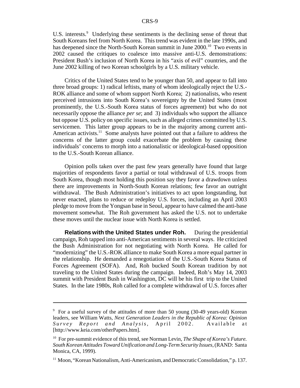U.S. interests.<sup>9</sup> Underlying these sentiments is the declining sense of threat that South Koreans feel from North Korea. This trend was evident in the late 1990s, and has deepened since the North-South Korean summit in June 2000.<sup>10</sup> Two events in 2002 caused the critiques to coalesce into massive anti-U.S. demonstrations: President Bush's inclusion of North Korea in his "axis of evil" countries, and the June 2002 killing of two Korean schoolgirls by a U.S. military vehicle.

Critics of the United States tend to be younger than 50, and appear to fall into three broad groups: 1) radical leftists, many of whom ideologically reject the U.S.- ROK alliance and some of whom support North Korea; 2) nationalists, who resent perceived intrusions into South Korea's sovereignty by the United States (most prominently, the U.S.-South Korea status of forces agreement) but who do not necessarily oppose the alliance *per se*; and 3) individuals who support the alliance but oppose U.S. policy on specific issues, such as alleged crimes committed by U.S. servicemen. This latter group appears to be in the majority among current anti-American activists.<sup>11</sup> Some analysts have pointed out that a failure to address the concerns of the latter group could exacerbate the problem by causing these individuals' concerns to morph into a nationalistic or ideological-based opposition to the U.S.-South Korean alliance.

Opinion polls taken over the past few years generally have found that large majorities of respondents favor a partial or total withdrawal of U.S. troops from South Korea, though most holding this position say they favor a drawdown unless there are improvements in North-South Korean relations; few favor an outright withdrawal. The Bush Administration's initiatives to act upon longstanding, but never enacted, plans to reduce or redeploy U.S. forces, including an April 2003 pledge to move from the Yongsan base in Seoul, appear to have calmed the anti-base movement somewhat. The Roh government has asked the U.S. not to undertake these moves until the nuclear issue with North Korea is settled.

**Relations with the United States under Roh.** During the presidential campaign, Roh tapped into anti-American sentiments in several ways. He criticized the Bush Administration for not negotiating with North Korea. He called for "modernizing" the U.S.-ROK alliance to make South Korea a more equal partner in the relationship. He demanded a renegotiation of the U.S.-South Korea Status of Forces Agreement (SOFA). And, Roh bucked South Korean tradition by not traveling to the United States during the campaign. Indeed, Roh's May 14, 2003 summit with President Bush in Washington, DC will be his first trip to the United States. In the late 1980s, Roh called for a complete withdrawal of U.S. forces after

<sup>&</sup>lt;sup>9</sup> For a useful survey of the attitudes of more than 50 young (30-49 years-old) Korean leaders, see William Watts, *Next Generation Leaders in the Republic of Korea: Opinion Survey Report and Analysis*, April 2002. Available at [http://www.keia.com/otherPapers.htm].

<sup>10</sup> For pre-summit evidence of this trend, see Norman Levin, *The Shape of Korea's Future. South Korean Attitudes Toward Unification and Long-Term Security Issues*, (RAND: Santa Monica, CA, 1999).

 $11$  Moon, "Korean Nationalism, Anti-Americanism, and Democratic Consolidation," p. 137.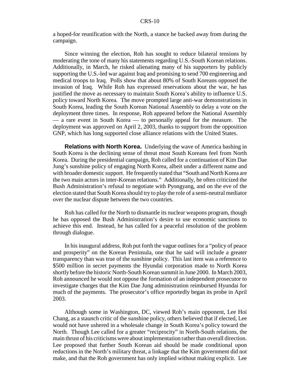a hoped-for reunification with the North, a stance he backed away from during the campaign.

Since winning the election, Roh has sought to reduce bilateral tensions by moderating the tone of many his statements regarding U.S.-South Korean relations. Additionally, in March, he risked alienating many of his supporters by publicly supporting the U.S.-led war against Iraq and promising to send 700 engineering and medical troops to Iraq. Polls show that about 80% of South Koreans opposed the invasion of Iraq. While Roh has expressed reservations about the war, he has justified the move as necessary to maintain South Korea's ability to influence U.S. policy toward North Korea. The move prompted large anti-war demonstrations in South Korea, leading the South Korean National Assembly to delay a vote on the deployment three times. In response, Roh appeared before the National Assembly — a rare event in South Korea — to personally appeal for the measure. The deployment was approved on April 2, 2003, thanks to support from the opposition GNP, which has long supported close alliance relations with the United States.

**Relations with North Korea.** Underlying the wave of America bashing in South Korea is the declining sense of threat most South Koreans feel from North Korea. During the presidential campaign, Roh called for a continuation of Kim Dae Jung's sunshine policy of engaging North Korea, albeit under a different name and with broader domestic support. He frequently stated that "South and North Korea are the two main actors in inter-Korean relations." Additionally, he often criticized the Bush Administration's refusal to negotiate with Pyongyang, and on the eve of the election stated that South Korea should try to play the role of a semi-neutral mediator over the nuclear dispute between the two countries.

Roh has called for the North to dismantle its nuclear weapons program, though he has opposed the Bush Administration's desire to use economic sanctions to achieve this end. Instead, he has called for a peaceful resolution of the problem through dialogue.

In his inaugural address, Roh put forth the vague outlines for a "policy of peace and prosperity" on the Korean Peninsula, one that he said will include a greater transparency than was true of the sunshine policy. This last item was a reference to \$500 million in secret payments the Hyundai corporation made to North Korea shortly before the historic North-South Korean summit in June 2000. In March 2003, Roh announced he would not oppose the formation of an independent prosecutor to investigate charges that the Kim Dae Jung administration reimbursed Hyundai for much of the payments. The prosecutor's office reportedly began its probe in April 2003.

Although some in Washington, DC, viewed Roh's main opponent, Lee Hoi Chang, as a staunch critic of the sunshine policy, others believed that if elected, Lee would not have ushered in a wholesale change in South Korea's policy toward the North. Though Lee called for a greater "reciprocity" in North-South relations, the main thrust of his criticisms were about implementation rather than overall direction. Lee proposed that further South Korean aid should be made conditional upon reductions in the North's military threat, a linkage that the Kim government did not make, and that the Roh government has only implied without making explicit. Lee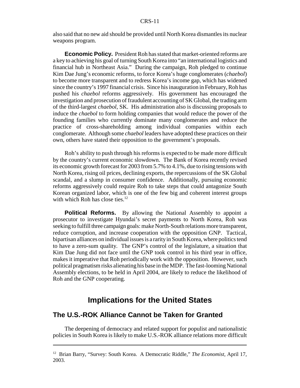also said that no new aid should be provided until North Korea dismantles its nuclear weapons program.

**Economic Policy.** President Roh has stated that market-oriented reforms are a key to achieving his goal of turning South Korea into "an international logistics and financial hub in Northeast Asia." During the campaign, Roh pledged to continue Kim Dae Jung's economic reforms, to force Korea's huge conglomerates (*chaebol*) to become more transparent and to redress Korea's income gap, which has widened since the country's 1997 financial crisis. Since his inauguration in February, Roh has pushed his *chaebol* reforms aggressively. His government has encouraged the investigation and prosecution of fraudulent accounting of SK Global, the trading arm of the third-largest *chaebol*, SK. His administration also is discussing proposals to induce the *chaebol* to form holding companies that would reduce the power of the founding families who currently dominate many conglomerates and reduce the practice of cross-shareholding among individual companies within each conglomerate. Although some *chaebol* leaders have adopted these practices on their own, others have stated their opposition to the government's proposals.

Roh's ability to push through his reforms is expected to be made more difficult by the country's current economic slowdown. The Bank of Korea recently revised its economic growth forecast for 2003 from 5.7% to 4.1%, due to rising tensions with North Korea, rising oil prices, declining exports, the repercussions of the SK Global scandal, and a slump in consumer confidence. Additionally, pursuing economic reforms aggressively could require Roh to take steps that could antagonize South Korean organized labor, which is one of the few big and coherent interest groups with which Roh has close ties.<sup>12</sup>

**Political Reforms.** By allowing the National Assembly to appoint a prosecutor to investigate Hyundai's secret payments to North Korea, Roh was seeking to fulfill three campaign goals: make North-South relations more transparent, reduce corruption, and increase cooperation with the opposition GNP. Tactical, bipartisan alliances on individual issues is a rarity in South Korea, where politics tend to have a zero-sum quality. The GNP's control of the legislature, a situation that Kim Dae Jung did not face until the GNP took control in his third year in office, makes it imperative that Roh periodically work with the opposition. However, such political pragmatism risks alienating his base in the MDP. The fast-looming National Assembly elections, to be held in April 2004, are likely to reduce the likelihood of Roh and the GNP cooperating.

## **Implications for the United States**

#### **The U.S.-ROK Alliance Cannot be Taken for Granted**

The deepening of democracy and related support for populist and nationalistic policies in South Korea is likely to make U.S.-ROK alliance relations more difficult

<sup>&</sup>lt;sup>12</sup> Brian Barry, "Survey: South Korea. A Democratic Riddle," *The Economist*, April 17, 2003.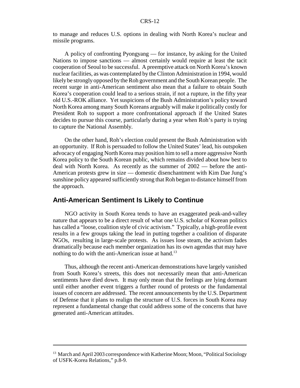to manage and reduces U.S. options in dealing with North Korea's nuclear and missile programs.

A policy of confronting Pyongyang — for instance, by asking for the United Nations to impose sanctions — almost certainly would require at least the tacit cooperation of Seoul to be successful. A preemptive attack on North Korea's known nuclear facilities, as was contemplated by the Clinton Administration in 1994, would likely be strongly opposed by the Roh government and the South Korean people. The recent surge in anti-American sentiment also mean that a failure to obtain South Korea's cooperation could lead to a serious strain, if not a rupture, in the fifty year old U.S.-ROK alliance. Yet suspicions of the Bush Administration's policy toward North Korea among many South Koreans arguably will make it politically costly for President Roh to support a more confrontational approach if the United States decides to pursue this course, particularly during a year when Roh's party is trying to capture the National Assembly.

On the other hand, Roh's election could present the Bush Administration with an opportunity. If Roh is persuaded to follow the United States' lead, his outspoken advocacy of engaging North Korea may position him to sell a more aggressive North Korea policy to the South Korean public, which remains divided about how best to deal with North Korea. As recently as the summer of 2002 — before the anti-American protests grew in size — domestic disenchantment with Kim Dae Jung's sunshine policy appeared sufficiently strong that Roh began to distance himself from the approach.

#### **Anti-American Sentiment Is Likely to Continue**

NGO activity in South Korea tends to have an exaggerated peak-and-valley nature that appears to be a direct result of what one U.S. scholar of Korean politics has called a "loose, coalition style of civic activism." Typically, a high-profile event results in a few groups taking the lead in putting together a coalition of disparate NGOs, resulting in large-scale protests. As issues lose steam, the activism fades dramatically because each member organization has its own agendas that may have nothing to do with the anti-American issue at hand.<sup>13</sup>

Thus, although the recent anti-American demonstrations have largely vanished from South Korea's streets, this does not necessarily mean that anti-American sentiments have died down. It may only mean that the feelings are lying dormant until either another event triggers a further round of protests or the fundamental issues of concern are addressed. The recent announcements by the U.S. Department of Defense that it plans to realign the structure of U.S. forces in South Korea may represent a fundamental change that could address some of the concerns that have generated anti-American attitudes.

<sup>&</sup>lt;sup>13</sup> March and April 2003 correspondence with Katherine Moon; Moon, "Political Sociology of USFK-Korea Relations," p.8-9.